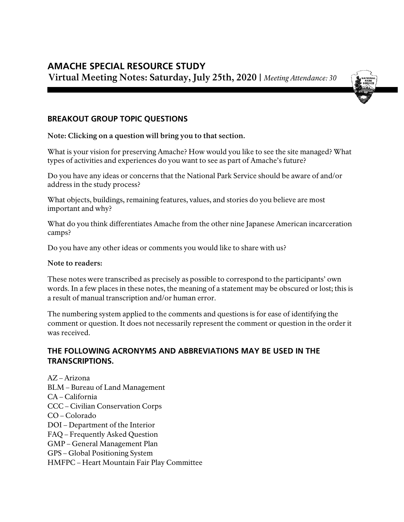# **AMACHE SPECIAL RESOURCE STUDY Virtual Meeting Notes: Saturday, July 25th, 2020 |** *Meeting Attendance: 30*



# **BREAKOUT GROUP TOPIC QUESTIONS**

**Note: Clicking on a question will bring you to that section.**

[What is your vision for preserving Amache? How would you like to see the site managed? What](#page-1-0)  [types of activities and experiences do you want to see as part of Amache's future?](#page-1-0)

[Do you have any ideas or concerns that the National Park Service should be aware of and/or](#page-6-0)  [address in the study process?](#page-6-0)

[What objects, buildings, remaining features, values, and stories do you believe are most](#page-10-0)  [important and why?](#page-10-0)

[What do you think differentiates Amache from the other nine Japanese American incarceration](#page-14-0)  [camps?](#page-14-0) 

[Do you have any other ideas or comments you](#page-17-0) would like to share with us?

#### **Note to readers:**

These notes were transcribed as precisely as possible to correspond to the participants' own words. In a few places in these notes, the meaning of a statement may be obscured or lost; this is a result of manual transcription and/or human error.

The numbering system applied to the comments and questions is for ease of identifying the comment or question. It does not necessarily represent the comment or question in the order it was received.

# **THE FOLLOWING ACRONYMS AND ABBREVIATIONS MAY BE USED IN THE TRANSCRIPTIONS.**

AZ – Arizona BLM – Bureau of Land Management CA – California CCC – Civilian Conservation Corps CO – Colorado DOI – Department of the Interior FAQ – Frequently Asked Question GMP – General Management Plan GPS – Global Positioning System HMFPC – Heart Mountain Fair Play Committee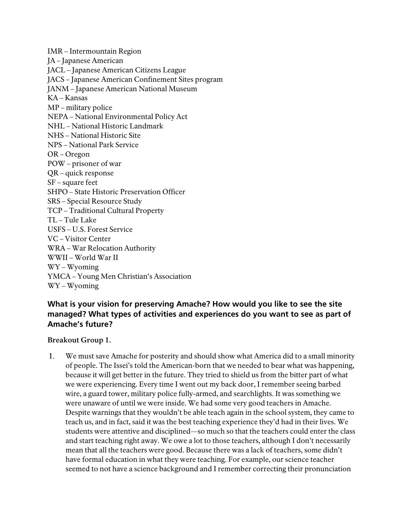IMR – Intermountain Region JA – Japanese American JACL – Japanese American Citizens League JACS – Japanese American Confinement Sites program JANM – Japanese American National Museum KA – Kansas MP – military police NEPA – National Environmental Policy Act NHL – National Historic Landmark NHS – National Historic Site NPS – National Park Service OR – Oregon POW – prisoner of war QR – quick response SF – square feet SHPO – State Historic Preservation Officer SRS – Special Resource Study TCP – Traditional Cultural Property TL – Tule Lake USFS – U.S. Forest Service VC – Visitor Center WRA – War Relocation Authority WWII – World War II WY – Wyoming YMCA – Young Men Christian's Association WY – Wyoming

# <span id="page-1-0"></span>**What is your vision for preserving Amache? How would you like to see the site managed? What types of activities and experiences do you want to see as part of Amache's future?**

### **Breakout Group 1.**

We must save Amache for posterity and should show what America did to a small minority 1. of people. The Issei's told the American-born that we needed to bear what was happening, because it will get better in the future. They tried to shield us from the bitter part of what we were experiencing. Every time I went out my back door, I remember seeing barbed wire, a guard tower, military police fully-armed, and searchlights. It was something we were unaware of until we were inside. We had some very good teachers in Amache. Despite warnings that they wouldn't be able teach again in the school system, they came to teach us, and in fact, said it was the best teaching experience they'd had in their lives. We students were attentive and disciplined—so much so that the teachers could enter the class and start teaching right away. We owe a lot to those teachers, although I don't necessarily mean that all the teachers were good. Because there was a lack of teachers, some didn't have formal education in what they were teaching. For example, our science teacher seemed to not have a science background and I remember correcting their pronunciation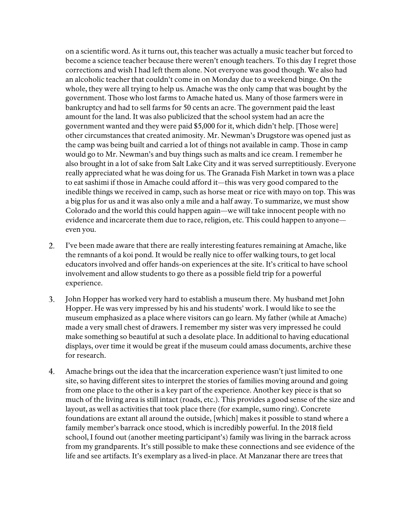on a scientific word. As it turns out, this teacher was actually a music teacher but forced to become a science teacher because there weren't enough teachers. To this day I regret those corrections and wish I had left them alone. Not everyone was good though. We also had an alcoholic teacher that couldn't come in on Monday due to a weekend binge. On the whole, they were all trying to help us. Amache was the only camp that was bought by the government. Those who lost farms to Amache hated us. Many of those farmers were in bankruptcy and had to sell farms for 50 cents an acre. The government paid the least amount for the land. It was also publicized that the school system had an acre the government wanted and they were paid \$5,000 for it, which didn't help. [Those were] other circumstances that created animosity. Mr. Newman's Drugstore was opened just as the camp was being built and carried a lot of things not available in camp. Those in camp would go to Mr. Newman's and buy things such as malts and ice cream. I remember he also brought in a lot of sake from Salt Lake City and it was served surreptitiously. Everyone really appreciated what he was doing for us. The Granada Fish Market in town was a place to eat sashimi if those in Amache could afford it—this was very good compared to the inedible things we received in camp, such as horse meat or rice with mayo on top. This was a big plus for us and it was also only a mile and a half away. To summarize, we must show Colorado and the world this could happen again—we will take innocent people with no evidence and incarcerate them due to race, religion, etc. This could happen to anyone even you.

- 2. I've been made aware that there are really interesting features remaining at Amache, like the remnants of a koi pond. It would be really nice to offer walking tours, to get local educators involved and offer hands-on experiences at the site. It's critical to have school involvement and allow students to go there as a possible field trip for a powerful experience.
- 3. John Hopper has worked very hard to establish a museum there. My husband met John Hopper. He was very impressed by his and his students' work. I would like to see the museum emphasized as a place where visitors can go learn. My father (while at Amache) made a very small chest of drawers. I remember my sister was very impressed he could make something so beautiful at such a desolate place. In additional to having educational displays, over time it would be great if the museum could amass documents, archive these for research.
- 4. Amache brings out the idea that the incarceration experience wasn't just limited to one site, so having different sites to interpret the stories of families moving around and going from one place to the other is a key part of the experience. Another key piece is that so much of the living area is still intact (roads, etc.). This provides a good sense of the size and layout, as well as activities that took place there (for example, sumo ring). Concrete foundations are extant all around the outside, [which] makes it possible to stand where a family member's barrack once stood, which is incredibly powerful. In the 2018 field school, I found out (another meeting participant's) family was living in the barrack across from my grandparents. It's still possible to make these connections and see evidence of the life and see artifacts. It's exemplary as a lived-in place. At Manzanar there are trees that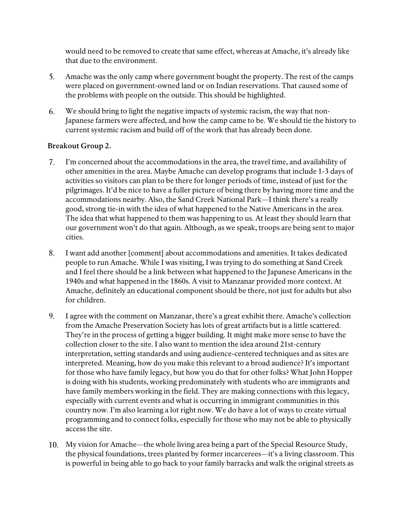would need to be removed to create that same effect, whereas at Amache, it's already like that due to the environment.

- 5. Amache was the only camp where government bought the property. The rest of the camps were placed on government-owned land or on Indian reservations. That caused some of the problems with people on the outside. This should be highlighted.
- 6. We should bring to light the negative impacts of systemic racism, the way that non-Japanese farmers were affected, and how the camp came to be. We should tie the history to current systemic racism and build off of the work that has already been done.

- 7. I'm concerned about the accommodations in the area, the travel time, and availability of other amenities in the area. Maybe Amache can develop programs that include 1-3 days of activities so visitors can plan to be there for longer periods of time, instead of just for the pilgrimages. It'd be nice to have a fuller picture of being there by having more time and the accommodations nearby. Also, the Sand Creek National Park—I think there's a really good, strong tie-in with the idea of what happened to the Native Americans in the area. The idea that what happened to them was happening to us. At least they should learn that our government won't do that again. Although, as we speak, troops are being sent to major cities.
- 8. I want add another [comment] about accommodations and amenities. It takes dedicated people to run Amache. While I was visiting, I was trying to do something at Sand Creek and I feel there should be a link between what happened to the Japanese Americans in the 1940s and what happened in the 1860s. A visit to Manzanar provided more context. At Amache, definitely an educational component should be there, not just for adults but also for children.
- 9. I agree with the comment on Manzanar, there's a great exhibit there. Amache's collection from the Amache Preservation Society has lots of great artifacts but is a little scattered. They're in the process of getting a bigger building. It might make more sense to have the collection closer to the site. I also want to mention the idea around 21st-century interpretation, setting standards and using audience-centered techniques and as sites are interpreted. Meaning, how do you make this relevant to a broad audience? It's important for those who have family legacy, but how you do that for other folks? What John Hopper is doing with his students, working predominately with students who are immigrants and have family members working in the field. They are making connections with this legacy, especially with current events and what is occurring in immigrant communities in this country now. I'm also learning a lot right now. We do have a lot of ways to create virtual programming and to connect folks, especially for those who may not be able to physically access the site.
- 10. My vision for Amache—the whole living area being a part of the Special Resource Study, the physical foundations, trees planted by former incarcerees—it's a living classroom. This is powerful in being able to go back to your family barracks and walk the original streets as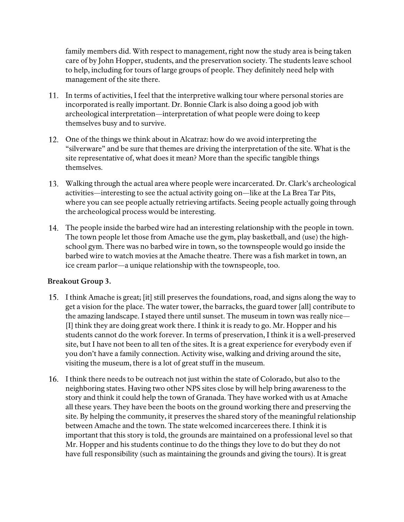family members did. With respect to management, right now the study area is being taken care of by John Hopper, students, and the preservation society. The students leave school to help, including for tours of large groups of people. They definitely need help with management of the site there.

- 11. In terms of activities, I feel that the interpretive walking tour where personal stories are incorporated is really important. Dr. Bonnie Clark is also doing a good job with archeological interpretation—interpretation of what people were doing to keep themselves busy and to survive.
- 12. One of the things we think about in Alcatraz: how do we avoid interpreting the "silverware" and be sure that themes are driving the interpretation of the site. What is the site representative of, what does it mean? More than the specific tangible things themselves.
- 13. Walking through the actual area where people were incarcerated. Dr. Clark's archeological activities—interesting to see the actual activity going on—like at the La Brea Tar Pits, where you can see people actually retrieving artifacts. Seeing people actually going through the archeological process would be interesting.
- **14.** The people inside the barbed wire had an interesting relationship with the people in town. The town people let those from Amache use the gym, play basketball, and (use) the highschool gym. There was no barbed wire in town, so the townspeople would go inside the barbed wire to watch movies at the Amache theatre. There was a fish market in town, an ice cream parlor—a unique relationship with the townspeople, too.

- 15. I think Amache is great; [it] still preserves the foundations, road, and signs along the way to get a vision for the place. The water tower, the barracks, the guard tower [all] contribute to the amazing landscape. I stayed there until sunset. The museum in town was really nice— [I] think they are doing great work there. I think it is ready to go. Mr. Hopper and his students cannot do the work forever. In terms of preservation, I think it is a well-preserved site, but I have not been to all ten of the sites. It is a great experience for everybody even if you don't have a family connection. Activity wise, walking and driving around the site, visiting the museum, there is a lot of great stuff in the museum.
- 16. I think there needs to be outreach not just within the state of Colorado, but also to the neighboring states. Having two other NPS sites close by will help bring awareness to the story and think it could help the town of Granada. They have worked with us at Amache all these years. They have been the boots on the ground working there and preserving the site. By helping the community, it preserves the shared story of the meaningful relationship between Amache and the town. The state welcomed incarcerees there. I think it is important that this story is told, the grounds are maintained on a professional level so that Mr. Hopper and his students continue to do the things they love to do but they do not have full responsibility (such as maintaining the grounds and giving the tours). It is great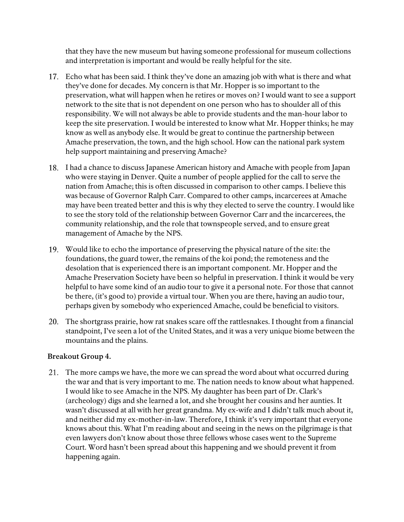that they have the new museum but having someone professional for museum collections and interpretation is important and would be really helpful for the site.

- 17. Echo what has been said. I think they've done an amazing job with what is there and what they've done for decades. My concern is that Mr. Hopper is so important to the preservation, what will happen when he retires or moves on? I would want to see a support network to the site that is not dependent on one person who has to shoulder all of this responsibility. We will not always be able to provide students and the man-hour labor to keep the site preservation. I would be interested to know what Mr. Hopper thinks; he may know as well as anybody else. It would be great to continue the partnership between Amache preservation, the town, and the high school. How can the national park system help support maintaining and preserving Amache?
- 18. I had a chance to discuss Japanese American history and Amache with people from Japan who were staying in Denver. Quite a number of people applied for the call to serve the nation from Amache; this is often discussed in comparison to other camps. I believe this was because of Governor Ralph Carr. Compared to other camps, incarcerees at Amache may have been treated better and this is why they elected to serve the country. I would like to see the story told of the relationship between Governor Carr and the incarcerees, the community relationship, and the role that townspeople served, and to ensure great management of Amache by the NPS.
- 19. Would like to echo the importance of preserving the physical nature of the site: the foundations, the guard tower, the remains of the koi pond; the remoteness and the desolation that is experienced there is an important component. Mr. Hopper and the Amache Preservation Society have been so helpful in preservation. I think it would be very helpful to have some kind of an audio tour to give it a personal note. For those that cannot be there, (it's good to) provide a virtual tour. When you are there, having an audio tour, perhaps given by somebody who experienced Amache, could be beneficial to visitors.
- 20. The shortgrass prairie, how rat snakes scare off the rattlesnakes. I thought from a financial standpoint, I've seen a lot of the United States, and it was a very unique biome between the mountains and the plains.

### **Breakout Group 4.**

21. The more camps we have, the more we can spread the word about what occurred during the war and that is very important to me. The nation needs to know about what happened. I would like to see Amache in the NPS. My daughter has been part of Dr. Clark's (archeology) digs and she learned a lot, and she brought her cousins and her aunties. It wasn't discussed at all with her great grandma. My ex-wife and I didn't talk much about it, and neither did my ex-mother-in-law. Therefore, I think it's very important that everyone knows about this. What I'm reading about and seeing in the news on the pilgrimage is that even lawyers don't know about those three fellows whose cases went to the Supreme Court. Word hasn't been spread about this happening and we should prevent it from happening again.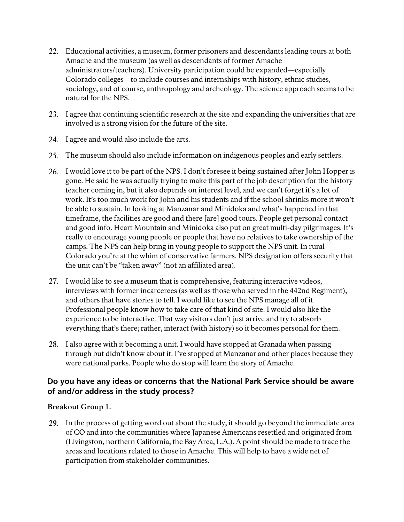- 22. Educational activities, a museum, former prisoners and descendants leading tours at both Amache and the museum (as well as descendants of former Amache administrators/teachers). University participation could be expanded—especially Colorado colleges—to include courses and internships with history, ethnic studies, sociology, and of course, anthropology and archeology. The science approach seems to be natural for the NPS.
- 23. I agree that continuing scientific research at the site and expanding the universities that are involved is a strong vision for the future of the site.
- 24. I agree and would also include the arts.
- 25. The museum should also include information on indigenous peoples and early settlers.
- 26. I would love it to be part of the NPS. I don't foresee it being sustained after John Hopper is gone. He said he was actually trying to make this part of the job description for the history teacher coming in, but it also depends on interest level, and we can't forget it's a lot of work. It's too much work for John and his students and if the school shrinks more it won't be able to sustain. In looking at Manzanar and Minidoka and what's happened in that timeframe, the facilities are good and there [are] good tours. People get personal contact and good info. Heart Mountain and Minidoka also put on great multi-day pilgrimages. It's really to encourage young people or people that have no relatives to take ownership of the camps. The NPS can help bring in young people to support the NPS unit. In rural Colorado you're at the whim of conservative farmers. NPS designation offers security that the unit can't be "taken away" (not an affiliated area).
- 27. I would like to see a museum that is comprehensive, featuring interactive videos, interviews with former incarcerees (as well as those who served in the 442nd Regiment), and others that have stories to tell. I would like to see the NPS manage all of it. Professional people know how to take care of that kind of site. I would also like the experience to be interactive. That way visitors don't just arrive and try to absorb everything that's there; rather, interact (with history) so it becomes personal for them.
- 28. I also agree with it becoming a unit. I would have stopped at Granada when passing through but didn't know about it. I've stopped at Manzanar and other places because they were national parks. People who do stop will learn the story of Amache.

# <span id="page-6-0"></span>**Do you have any ideas or concerns that the National Park Service should be aware of and/or address in the study process?**

# **Breakout Group 1.**

29. In the process of getting word out about the study, it should go beyond the immediate area of CO and into the communities where Japanese Americans resettled and originated from (Livingston, northern California, the Bay Area, L.A.). A point should be made to trace the areas and locations related to those in Amache. This will help to have a wide net of participation from stakeholder communities.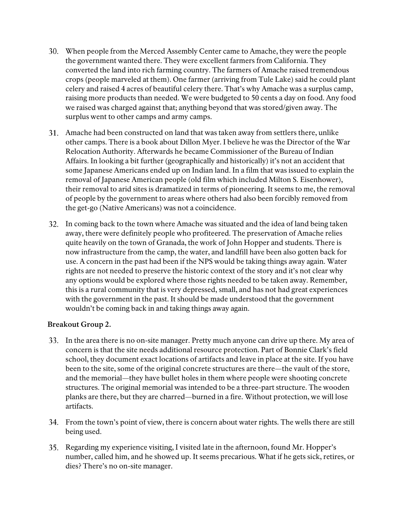- 30. When people from the Merced Assembly Center came to Amache, they were the people the government wanted there. They were excellent farmers from California. They converted the land into rich farming country. The farmers of Amache raised tremendous crops (people marveled at them). One farmer (arriving from Tule Lake) said he could plant celery and raised 4 acres of beautiful celery there. That's why Amache was a surplus camp, raising more products than needed. We were budgeted to 50 cents a day on food. Any food we raised was charged against that; anything beyond that was stored/given away. The surplus went to other camps and army camps.
- 31. Amache had been constructed on land that was taken away from settlers there, unlike other camps. There is a book about Dillon Myer. I believe he was the Director of the War Relocation Authority. Afterwards he became Commissioner of the Bureau of Indian Affairs. In looking a bit further (geographically and historically) it's not an accident that some Japanese Americans ended up on Indian land. In a film that was issued to explain the removal of Japanese American people (old film which included Milton S. Eisenhower), their removal to arid sites is dramatized in terms of pioneering. It seems to me, the removal of people by the government to areas where others had also been forcibly removed from the get-go (Native Americans) was not a coincidence.
- 32. In coming back to the town where Amache was situated and the idea of land being taken away, there were definitely people who profiteered. The preservation of Amache relies quite heavily on the town of Granada, the work of John Hopper and students. There is now infrastructure from the camp, the water, and landfill have been also gotten back for use. A concern in the past had been if the NPS would be taking things away again. Water rights are not needed to preserve the historic context of the story and it's not clear why any options would be explored where those rights needed to be taken away. Remember, this is a rural community that is very depressed, small, and has not had great experiences with the government in the past. It should be made understood that the government wouldn't be coming back in and taking things away again.

- 33. In the area there is no on-site manager. Pretty much anyone can drive up there. My area of concern is that the site needs additional resource protection. Part of Bonnie Clark's field school, they document exact locations of artifacts and leave in place at the site. If you have been to the site, some of the original concrete structures are there—the vault of the store, and the memorial—they have bullet holes in them where people were shooting concrete structures. The original memorial was intended to be a three-part structure. The wooden planks are there, but they are charred—burned in a fire. Without protection, we will lose artifacts.
- 34. From the town's point of view, there is concern about water rights. The wells there are still being used.
- 35. Regarding my experience visiting, I visited late in the afternoon, found Mr. Hopper's number, called him, and he showed up. It seems precarious. What if he gets sick, retires, or dies? There's no on-site manager.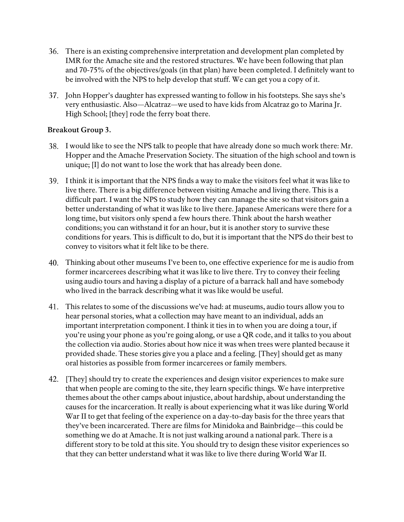- 36. There is an existing comprehensive interpretation and development plan completed by IMR for the Amache site and the restored structures. We have been following that plan and 70-75% of the objectives/goals (in that plan) have been completed. I definitely want to be involved with the NPS to help develop that stuff. We can get you a copy of it.
- 37. John Hopper's daughter has expressed wanting to follow in his footsteps. She says she's very enthusiastic. Also—Alcatraz—we used to have kids from Alcatraz go to Marina Jr. High School; [they] rode the ferry boat there.

- 38. I would like to see the NPS talk to people that have already done so much work there: Mr. Hopper and the Amache Preservation Society. The situation of the high school and town is unique; [I] do not want to lose the work that has already been done.
- 39. I think it is important that the NPS finds a way to make the visitors feel what it was like to live there. There is a big difference between visiting Amache and living there. This is a difficult part. I want the NPS to study how they can manage the site so that visitors gain a better understanding of what it was like to live there. Japanese Americans were there for a long time, but visitors only spend a few hours there. Think about the harsh weather conditions; you can withstand it for an hour, but it is another story to survive these conditions for years. This is difficult to do, but it is important that the NPS do their best to convey to visitors what it felt like to be there.
- 40. Thinking about other museums I've been to, one effective experience for me is audio from former incarcerees describing what it was like to live there. Try to convey their feeling using audio tours and having a display of a picture of a barrack hall and have somebody who lived in the barrack describing what it was like would be useful.
- 41. This relates to some of the discussions we've had: at museums, audio tours allow you to hear personal stories, what a collection may have meant to an individual, adds an important interpretation component. I think it ties in to when you are doing a tour, if you're using your phone as you're going along, or use a QR code, and it talks to you about the collection via audio. Stories about how nice it was when trees were planted because it provided shade. These stories give you a place and a feeling. [They] should get as many oral histories as possible from former incarcerees or family members.
- 42. [They] should try to create the experiences and design visitor experiences to make sure that when people are coming to the site, they learn specific things. We have interpretive themes about the other camps about injustice, about hardship, about understanding the causes for the incarceration. It really is about experiencing what it was like during World War II to get that feeling of the experience on a day-to-day basis for the three years that they've been incarcerated. There are films for Minidoka and Bainbridge—this could be something we do at Amache. It is not just walking around a national park. There is a different story to be told at this site. You should try to design these visitor experiences so that they can better understand what it was like to live there during World War II.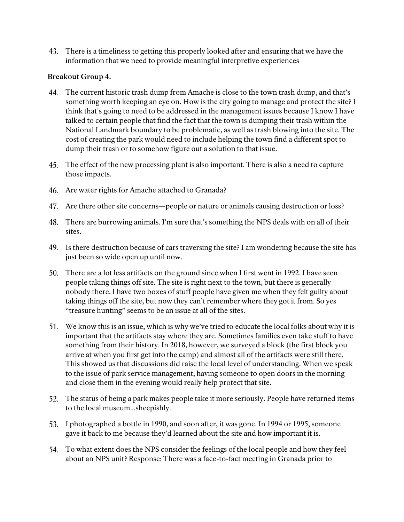43. There is a timeliness to getting this properly looked after and ensuring that we have the information that we need to provide meaningful interpretive experiences

- 44. The current historic trash dump from Amache is close to the town trash dump, and that's something worth keeping an eye on. How is the city going to manage and protect the site? I think that's going to need to be addressed in the management issues because I know I have talked to certain people that find the fact that the town is dumping their trash within the National Landmark boundary to be problematic, as well as trash blowing into the site. The cost of creating the park would need to include helping the town find a different spot to dump their trash or to somehow figure out a solution to that issue.
- 45. The effect of the new processing plant is also important. There is also a need to capture those impacts.
- 46. Are water rights for Amache attached to Granada?
- 47. Are there other site concerns—people or nature or animals causing destruction or loss?
- 48. There are burrowing animals. I'm sure that's something the NPS deals with on all of their sites.
- 49. Is there destruction because of cars traversing the site? I am wondering because the site has just been so wide open up until now.
- 50. There are a lot less artifacts on the ground since when I first went in 1992. I have seen people taking things off site. The site is right next to the town, but there is generally nobody there. I have two boxes of stuff people have given me when they felt guilty about taking things off the site, but now they can't remember where they got it from. So yes "treasure hunting" seems to be an issue at all of the sites.
- 51. We know this is an issue, which is why we've tried to educate the local folks about why it is important that the artifacts stay where they are. Sometimes families even take stuff to have something from their history. In 2018, however, we surveyed a block (the first block you arrive at when you first get into the camp) and almost all of the artifacts were still there. This showed us that discussions did raise the local level of understanding. When we speak to the issue of park service management, having someone to open doors in the morning and close them in the evening would really help protect that site.
- 52. The status of being a park makes people take it more seriously. People have returned items to the local museum...sheepishly.
- 53. I photographed a bottle in 1990, and soon after, it was gone. In 1994 or 1995, someone gave it back to me because they'd learned about the site and how important it is.
- 54. To what extent does the NPS consider the feelings of the local people and how they feel about an NPS unit? Response: There was a face-to-fact meeting in Granada prior to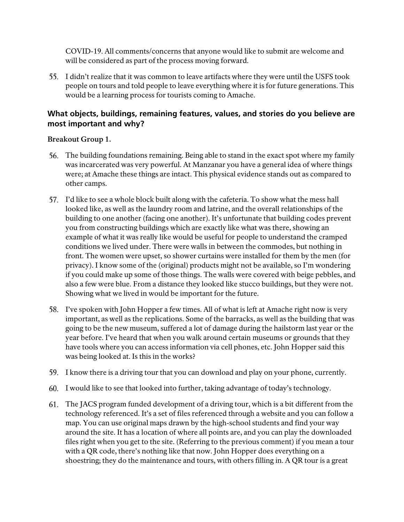COVID-19. All comments/concerns that anyone would like to submit are welcome and will be considered as part of the process moving forward.

55. I didn't realize that it was common to leave artifacts where they were until the USFS took people on tours and told people to leave everything where it is for future generations. This would be a learning process for tourists coming to Amache.

# <span id="page-10-0"></span>**What objects, buildings, remaining features, values, and stories do you believe are most important and why?**

- 56. The building foundations remaining. Being able to stand in the exact spot where my family was incarcerated was very powerful. At Manzanar you have a general idea of where things were; at Amache these things are intact. This physical evidence stands out as compared to other camps.
- 57. I'd like to see a whole block built along with the cafeteria. To show what the mess hall looked like, as well as the laundry room and latrine, and the overall relationships of the building to one another (facing one another). It's unfortunate that building codes prevent you from constructing buildings which are exactly like what was there, showing an example of what it was really like would be useful for people to understand the cramped conditions we lived under. There were walls in between the commodes, but nothing in front. The women were upset, so shower curtains were installed for them by the men (for privacy). I know some of the (original) products might not be available, so I'm wondering if you could make up some of those things. The walls were covered with beige pebbles, and also a few were blue. From a distance they looked like stucco buildings, but they were not. Showing what we lived in would be important for the future.
- 58. I've spoken with John Hopper a few times. All of what is left at Amache right now is very important, as well as the replications. Some of the barracks, as well as the building that was going to be the new museum, suffered a lot of damage during the hailstorm last year or the year before. I've heard that when you walk around certain museums or grounds that they have tools where you can access information via cell phones, etc. John Hopper said this was being looked at. Is this in the works?
- 59. I know there is a driving tour that you can download and play on your phone, currently.
- 60. I would like to see that looked into further, taking advantage of today's technology.
- 61. The JACS program funded development of a driving tour, which is a bit different from the technology referenced. It's a set of files referenced through a website and you can follow a map. You can use original maps drawn by the high-school students and find your way around the site. It has a location of where all points are, and you can play the downloaded files right when you get to the site. (Referring to the previous comment) if you mean a tour with a QR code, there's nothing like that now. John Hopper does everything on a shoestring; they do the maintenance and tours, with others filling in. A QR tour is a great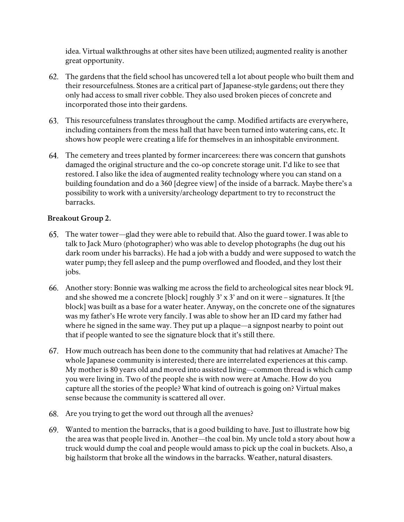idea. Virtual walkthroughs at other sites have been utilized; augmented reality is another great opportunity.

- 62. The gardens that the field school has uncovered tell a lot about people who built them and their resourcefulness. Stones are a critical part of Japanese-style gardens; out there they only had access to small river cobble. They also used broken pieces of concrete and incorporated those into their gardens.
- 63. This resourcefulness translates throughout the camp. Modified artifacts are everywhere, including containers from the mess hall that have been turned into watering cans, etc. It shows how people were creating a life for themselves in an inhospitable environment.
- 64. The cemetery and trees planted by former incarcerees: there was concern that gunshots damaged the original structure and the co-op concrete storage unit. I'd like to see that restored. I also like the idea of augmented reality technology where you can stand on a building foundation and do a 360 [degree view] of the inside of a barrack. Maybe there's a possibility to work with a university/archeology department to try to reconstruct the barracks.

- 65. The water tower—glad they were able to rebuild that. Also the guard tower. I was able to talk to Jack Muro (photographer) who was able to develop photographs (he dug out his dark room under his barracks). He had a job with a buddy and were supposed to watch the water pump; they fell asleep and the pump overflowed and flooded, and they lost their jobs.
- 66. Another story: Bonnie was walking me across the field to archeological sites near block 9L and she showed me a concrete [block] roughly 3' x 3' and on it were – signatures. It [the block] was built as a base for a water heater. Anyway, on the concrete one of the signatures was my father's He wrote very fancily. I was able to show her an ID card my father had where he signed in the same way. They put up a plaque—a signpost nearby to point out that if people wanted to see the signature block that it's still there.
- 67. How much outreach has been done to the community that had relatives at Amache? The whole Japanese community is interested; there are interrelated experiences at this camp. My mother is 80 years old and moved into assisted living—common thread is which camp you were living in. Two of the people she is with now were at Amache. How do you capture all the stories of the people? What kind of outreach is going on? Virtual makes sense because the community is scattered all over.
- 68. Are you trying to get the word out through all the avenues?
- 69. Wanted to mention the barracks, that is a good building to have. Just to illustrate how big the area was that people lived in. Another—the coal bin. My uncle told a story about how a truck would dump the coal and people would amass to pick up the coal in buckets. Also, a big hailstorm that broke all the windows in the barracks. Weather, natural disasters.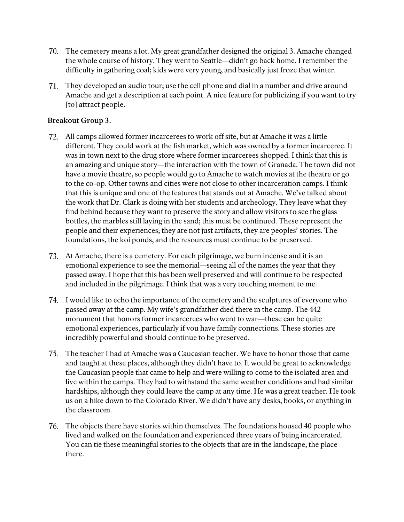- 70. The cemetery means a lot. My great grandfather designed the original 3. Amache changed the whole course of history. They went to Seattle—didn't go back home. I remember the difficulty in gathering coal; kids were very young, and basically just froze that winter.
- 71. They developed an audio tour; use the cell phone and dial in a number and drive around Amache and get a description at each point. A nice feature for publicizing if you want to try [to] attract people.

- 72. All camps allowed former incarcerees to work off site, but at Amache it was a little different. They could work at the fish market, which was owned by a former incarceree. It was in town next to the drug store where former incarcerees shopped. I think that this is an amazing and unique story—the interaction with the town of Granada. The town did not have a movie theatre, so people would go to Amache to watch movies at the theatre or go to the co-op. Other towns and cities were not close to other incarceration camps. I think that this is unique and one of the features that stands out at Amache. We've talked about the work that Dr. Clark is doing with her students and archeology. They leave what they find behind because they want to preserve the story and allow visitors to see the glass bottles, the marbles still laying in the sand; this must be continued. These represent the people and their experiences; they are not just artifacts, they are peoples' stories. The foundations, the koi ponds, and the resources must continue to be preserved.
- 73. At Amache, there is a cemetery. For each pilgrimage, we burn incense and it is an emotional experience to see the memorial—seeing all of the names the year that they passed away. I hope that this has been well preserved and will continue to be respected and included in the pilgrimage. I think that was a very touching moment to me.
- 74. I would like to echo the importance of the cemetery and the sculptures of everyone who passed away at the camp. My wife's grandfather died there in the camp. The 442 monument that honors former incarcerees who went to war—these can be quite emotional experiences, particularly if you have family connections. These stories are incredibly powerful and should continue to be preserved.
- 75. The teacher I had at Amache was a Caucasian teacher. We have to honor those that came and taught at these places, although they didn't have to. It would be great to acknowledge the Caucasian people that came to help and were willing to come to the isolated area and live within the camps. They had to withstand the same weather conditions and had similar hardships, although they could leave the camp at any time. He was a great teacher. He took us on a hike down to the Colorado River. We didn't have any desks, books, or anything in the classroom.
- 76. The objects there have stories within themselves. The foundations housed 40 people who lived and walked on the foundation and experienced three years of being incarcerated. You can tie these meaningful stories to the objects that are in the landscape, the place there.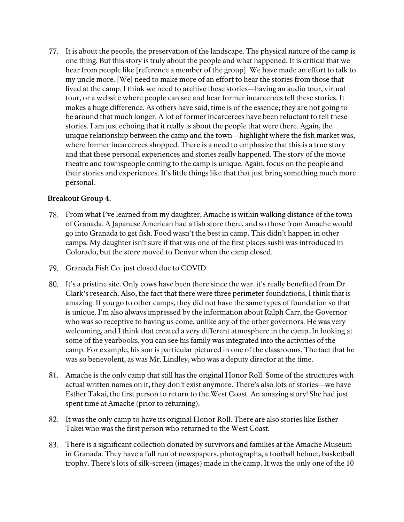77. It is about the people, the preservation of the landscape. The physical nature of the camp is one thing. But this story is truly about the people and what happened. It is critical that we hear from people like [reference a member of the group]. We have made an effort to talk to my uncle more. [We] need to make more of an effort to hear the stories from those that lived at the camp. I think we need to archive these stories—having an audio tour, virtual tour, or a website where people can see and hear former incarcerees tell these stories. It makes a huge difference. As others have said, time is of the essence; they are not going to be around that much longer. A lot of former incarcerees have been reluctant to tell these stories. I am just echoing that it really is about the people that were there. Again, the unique relationship between the camp and the town—highlight where the fish market was, where former incarcerees shopped. There is a need to emphasize that this is a true story and that these personal experiences and stories really happened. The story of the movie theatre and townspeople coming to the camp is unique. Again, focus on the people and their stories and experiences. It's little things like that that just bring something much more personal.

- 78. From what I've learned from my daughter, Amache is within walking distance of the town of Granada. A Japanese American had a fish store there, and so those from Amache would go into Granada to get fish. Food wasn't the best in camp. This didn't happen in other camps. My daughter isn't sure if that was one of the first places sushi was introduced in Colorado, but the store moved to Denver when the camp closed.
- 79. Granada Fish Co. just closed due to COVID.
- 80. It's a pristine site. Only cows have been there since the war. it's really benefited from Dr. Clark's research. Also, the fact that there were three perimeter foundations, I think that is amazing. If you go to other camps, they did not have the same types of foundation so that is unique. I'm also always impressed by the information about Ralph Carr, the Governor who was so receptive to having us come, unlike any of the other governors. He was very welcoming, and I think that created a very different atmosphere in the camp. In looking at some of the yearbooks, you can see his family was integrated into the activities of the camp. For example, his son is particular pictured in one of the classrooms. The fact that he was so benevolent, as was Mr. Lindley, who was a deputy director at the time.
- 81. Amache is the only camp that still has the original Honor Roll. Some of the structures with actual written names on it, they don't exist anymore. There's also lots of stories—we have Esther Takai, the first person to return to the West Coast. An amazing story! She had just spent time at Amache (prior to returning).
- 82. It was the only camp to have its original Honor Roll. There are also stories like Esther Takei who was the first person who returned to the West Coast.
- 83. There is a significant collection donated by survivors and families at the Amache Museum in Granada. They have a full run of newspapers, photographs, a football helmet, basketball trophy. There's lots of silk-screen (images) made in the camp. It was the only one of the 10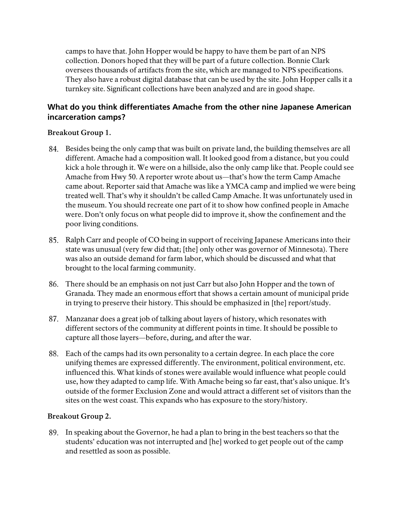camps to have that. John Hopper would be happy to have them be part of an NPS collection. Donors hoped that they will be part of a future collection. Bonnie Clark oversees thousands of artifacts from the site, which are managed to NPS specifications. They also have a robust digital database that can be used by the site. John Hopper calls it a turnkey site. Significant collections have been analyzed and are in good shape.

# <span id="page-14-0"></span>**What do you think differentiates Amache from the other nine Japanese American incarceration camps?**

### **Breakout Group 1.**

- 84. Besides being the only camp that was built on private land, the building themselves are all different. Amache had a composition wall. It looked good from a distance, but you could kick a hole through it. We were on a hillside, also the only camp like that. People could see Amache from Hwy 50. A reporter wrote about us—that's how the term Camp Amache came about. Reporter said that Amache was like a YMCA camp and implied we were being treated well. That's why it shouldn't be called Camp Amache. It was unfortunately used in the museum. You should recreate one part of it to show how confined people in Amache were. Don't only focus on what people did to improve it, show the confinement and the poor living conditions.
- 85. Ralph Carr and people of CO being in support of receiving Japanese Americans into their state was unusual (very few did that; [the] only other was governor of Minnesota). There was also an outside demand for farm labor, which should be discussed and what that brought to the local farming community.
- 86. There should be an emphasis on not just Carr but also John Hopper and the town of Granada. They made an enormous effort that shows a certain amount of municipal pride in trying to preserve their history. This should be emphasized in [the] report/study.
- 87. Manzanar does a great job of talking about layers of history, which resonates with different sectors of the community at different points in time. It should be possible to capture all those layers—before, during, and after the war.
- 88. Each of the camps had its own personality to a certain degree. In each place the core unifying themes are expressed differently. The environment, political environment, etc. influenced this. What kinds of stones were available would influence what people could use, how they adapted to camp life. With Amache being so far east, that's also unique. It's outside of the former Exclusion Zone and would attract a different set of visitors than the sites on the west coast. This expands who has exposure to the story/history.

### **Breakout Group 2.**

89. In speaking about the Governor, he had a plan to bring in the best teachers so that the students' education was not interrupted and [he] worked to get people out of the camp and resettled as soon as possible.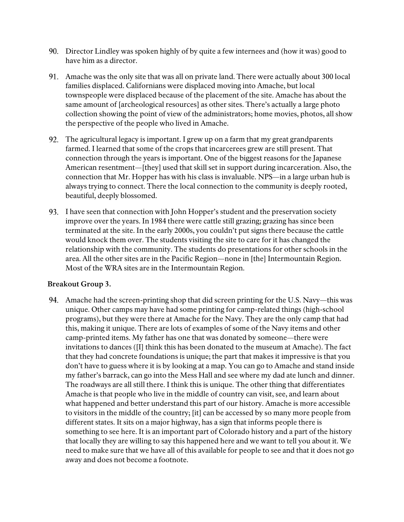- 90. Director Lindley was spoken highly of by quite a few internees and (how it was) good to have him as a director.
- 91. Amache was the only site that was all on private land. There were actually about 300 local families displaced. Californians were displaced moving into Amache, but local townspeople were displaced because of the placement of the site. Amache has about the same amount of [archeological resources] as other sites. There's actually a large photo collection showing the point of view of the administrators; home movies, photos, all show the perspective of the people who lived in Amache.
- 92. The agricultural legacy is important. I grew up on a farm that my great grandparents farmed. I learned that some of the crops that incarcerees grew are still present. That connection through the years is important. One of the biggest reasons for the Japanese American resentment—[they] used that skill set in support during incarceration. Also, the connection that Mr. Hopper has with his class is invaluable. NPS—in a large urban hub is always trying to connect. There the local connection to the community is deeply rooted, beautiful, deeply blossomed.
- 93. I have seen that connection with John Hopper's student and the preservation society improve over the years. In 1984 there were cattle still grazing; grazing has since been terminated at the site. In the early 2000s, you couldn't put signs there because the cattle would knock them over. The students visiting the site to care for it has changed the relationship with the community. The students do presentations for other schools in the area. All the other sites are in the Pacific Region—none in [the] Intermountain Region. Most of the WRA sites are in the Intermountain Region.

#### **Breakout Group 3.**

**94.** Amache had the screen-printing shop that did screen printing for the U.S. Navy—this was unique. Other camps may have had some printing for camp-related things (high-school programs), but they were there at Amache for the Navy. They are the only camp that had this, making it unique. There are lots of examples of some of the Navy items and other camp-printed items. My father has one that was donated by someone—there were invitations to dances ([I] think this has been donated to the museum at Amache). The fact that they had concrete foundations is unique; the part that makes it impressive is that you don't have to guess where it is by looking at a map. You can go to Amache and stand inside my father's barrack, can go into the Mess Hall and see where my dad ate lunch and dinner. The roadways are all still there. I think this is unique. The other thing that differentiates Amache is that people who live in the middle of country can visit, see, and learn about what happened and better understand this part of our history. Amache is more accessible to visitors in the middle of the country; [it] can be accessed by so many more people from different states. It sits on a major highway, has a sign that informs people there is something to see here. It is an important part of Colorado history and a part of the history that locally they are willing to say this happened here and we want to tell you about it. We need to make sure that we have all of this available for people to see and that it does not go away and does not become a footnote.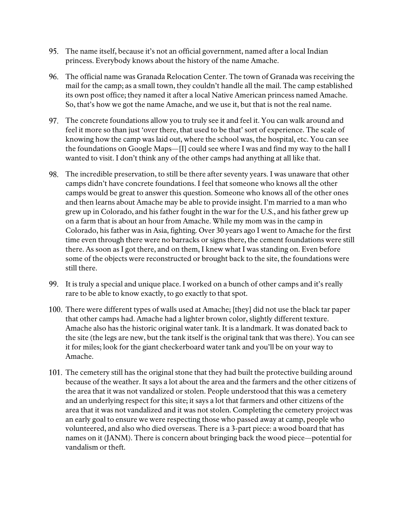- 95. The name itself, because it's not an official government, named after a local Indian princess. Everybody knows about the history of the name Amache.
- 96. The official name was Granada Relocation Center. The town of Granada was receiving the mail for the camp; as a small town, they couldn't handle all the mail. The camp established its own post office; they named it after a local Native American princess named Amache. So, that's how we got the name Amache, and we use it, but that is not the real name.
- 97. The concrete foundations allow you to truly see it and feel it. You can walk around and feel it more so than just 'over there, that used to be that' sort of experience. The scale of knowing how the camp was laid out, where the school was, the hospital, etc. You can see the foundations on Google Maps—[I] could see where I was and find my way to the hall I wanted to visit. I don't think any of the other camps had anything at all like that.
- 98. The incredible preservation, to still be there after seventy years. I was unaware that other camps didn't have concrete foundations. I feel that someone who knows all the other camps would be great to answer this question. Someone who knows all of the other ones and then learns about Amache may be able to provide insight. I'm married to a man who grew up in Colorado, and his father fought in the war for the U.S., and his father grew up on a farm that is about an hour from Amache. While my mom was in the camp in Colorado, his father was in Asia, fighting. Over 30 years ago I went to Amache for the first time even through there were no barracks or signs there, the cement foundations were still there. As soon as I got there, and on them, I knew what I was standing on. Even before some of the objects were reconstructed or brought back to the site, the foundations were still there.
- 99. It is truly a special and unique place. I worked on a bunch of other camps and it's really rare to be able to know exactly, to go exactly to that spot.
- 100. There were different types of walls used at Amache; [they] did not use the black tar paper that other camps had. Amache had a lighter brown color, slightly different texture. Amache also has the historic original water tank. It is a landmark. It was donated back to the site (the legs are new, but the tank itself is the original tank that was there). You can see it for miles; look for the giant checkerboard water tank and you'll be on your way to Amache.
- 101. The cemetery still has the original stone that they had built the protective building around because of the weather. It says a lot about the area and the farmers and the other citizens of the area that it was not vandalized or stolen. People understood that this was a cemetery and an underlying respect for this site; it says a lot that farmers and other citizens of the area that it was not vandalized and it was not stolen. Completing the cemetery project was an early goal to ensure we were respecting those who passed away at camp, people who volunteered, and also who died overseas. There is a 3-part piece: a wood board that has names on it (JANM). There is concern about bringing back the wood piece—potential for vandalism or theft.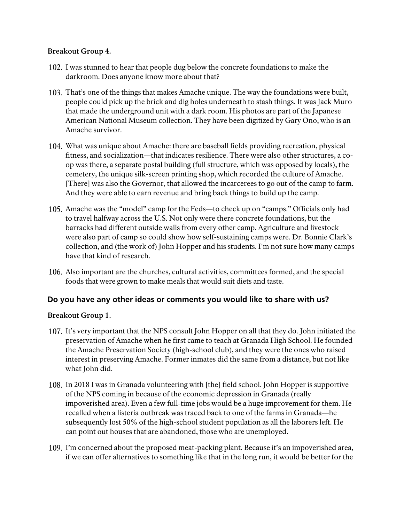### **Breakout Group 4.**

- 102. I was stunned to hear that people dug below the concrete foundations to make the darkroom. Does anyone know more about that?
- 103. That's one of the things that makes Amache unique. The way the foundations were built, people could pick up the brick and dig holes underneath to stash things. It was Jack Muro that made the underground unit with a dark room. His photos are part of the Japanese American National Museum collection. They have been digitized by Gary Ono, who is an Amache survivor.
- 104. What was unique about Amache: there are baseball fields providing recreation, physical fitness, and socialization—that indicates resilience. There were also other structures, a coop was there, a separate postal building (full structure, which was opposed by locals), the cemetery, the unique silk-screen printing shop, which recorded the culture of Amache. [There] was also the Governor, that allowed the incarcerees to go out of the camp to farm. And they were able to earn revenue and bring back things to build up the camp.
- 105. Amache was the "model" camp for the Feds—to check up on "camps." Officials only had to travel halfway across the U.S. Not only were there concrete foundations, but the barracks had different outside walls from every other camp. Agriculture and livestock were also part of camp so could show how self-sustaining camps were. Dr. Bonnie Clark's collection, and (the work of) John Hopper and his students. I'm not sure how many camps have that kind of research.
- 106. Also important are the churches, cultural activities, committees formed, and the special foods that were grown to make meals that would suit diets and taste.

### <span id="page-17-0"></span>**Do you have any other ideas or comments you would like to share with us?**

- 107. It's very important that the NPS consult John Hopper on all that they do. John initiated the preservation of Amache when he first came to teach at Granada High School. He founded the Amache Preservation Society (high-school club), and they were the ones who raised interest in preserving Amache. Former inmates did the same from a distance, but not like what John did.
- 108. In 2018 I was in Granada volunteering with [the] field school. John Hopper is supportive of the NPS coming in because of the economic depression in Granada (really impoverished area). Even a few full-time jobs would be a huge improvement for them. He recalled when a listeria outbreak was traced back to one of the farms in Granada—he subsequently lost 50% of the high-school student population as all the laborers left. He can point out houses that are abandoned, those who are unemployed.
- 109. I'm concerned about the proposed meat-packing plant. Because it's an impoverished area, if we can offer alternatives to something like that in the long run, it would be better for the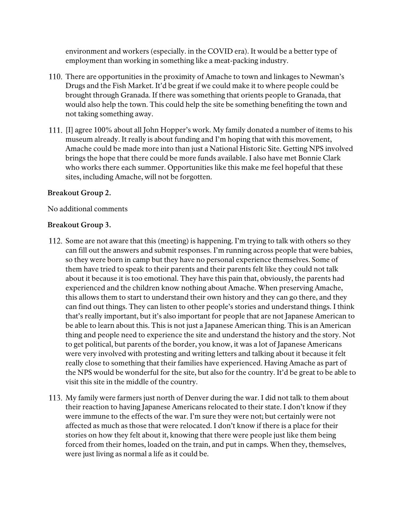environment and workers (especially. in the COVID era). It would be a better type of employment than working in something like a meat-packing industry.

- 110. There are opportunities in the proximity of Amache to town and linkages to Newman's Drugs and the Fish Market. It'd be great if we could make it to where people could be brought through Granada. If there was something that orients people to Granada, that would also help the town. This could help the site be something benefiting the town and not taking something away.
- 111. [I] agree 100% about all John Hopper's work. My family donated a number of items to his museum already. It really is about funding and I'm hoping that with this movement, Amache could be made more into than just a National Historic Site. Getting NPS involved brings the hope that there could be more funds available. I also have met Bonnie Clark who works there each summer. Opportunities like this make me feel hopeful that these sites, including Amache, will not be forgotten.

#### **Breakout Group 2.**

No additional comments

- 112. Some are not aware that this (meeting) is happening. I'm trying to talk with others so they can fill out the answers and submit responses. I'm running across people that were babies, so they were born in camp but they have no personal experience themselves. Some of them have tried to speak to their parents and their parents felt like they could not talk about it because it is too emotional. They have this pain that, obviously, the parents had experienced and the children know nothing about Amache. When preserving Amache, this allows them to start to understand their own history and they can go there, and they can find out things. They can listen to other people's stories and understand things. I think that's really important, but it's also important for people that are not Japanese American to be able to learn about this. This is not just a Japanese American thing. This is an American thing and people need to experience the site and understand the history and the story. Not to get political, but parents of the border, you know, it was a lot of Japanese Americans were very involved with protesting and writing letters and talking about it because it felt really close to something that their families have experienced. Having Amache as part of the NPS would be wonderful for the site, but also for the country. It'd be great to be able to visit this site in the middle of the country.
- 113. My family were farmers just north of Denver during the war. I did not talk to them about their reaction to having Japanese Americans relocated to their state. I don't know if they were immune to the effects of the war. I'm sure they were not; but certainly were not affected as much as those that were relocated. I don't know if there is a place for their stories on how they felt about it, knowing that there were people just like them being forced from their homes, loaded on the train, and put in camps. When they, themselves, were just living as normal a life as it could be.